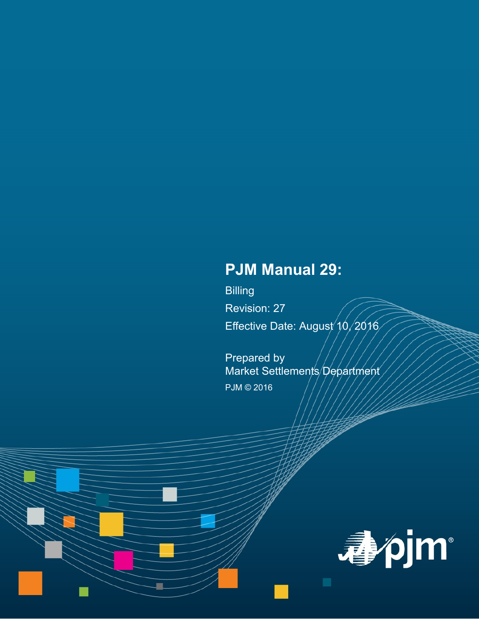# **PJM Manual 29:**

Billing Revision: 27 Effective Date: August 10, 2016

Prepared by Market Settlements Department PJM © 2016

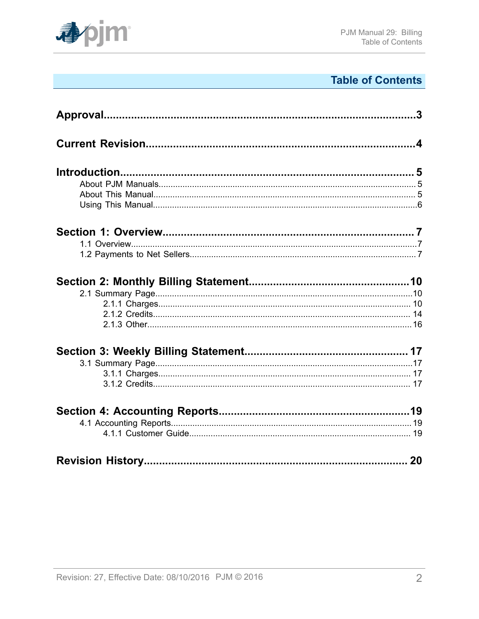

# **Table of Contents**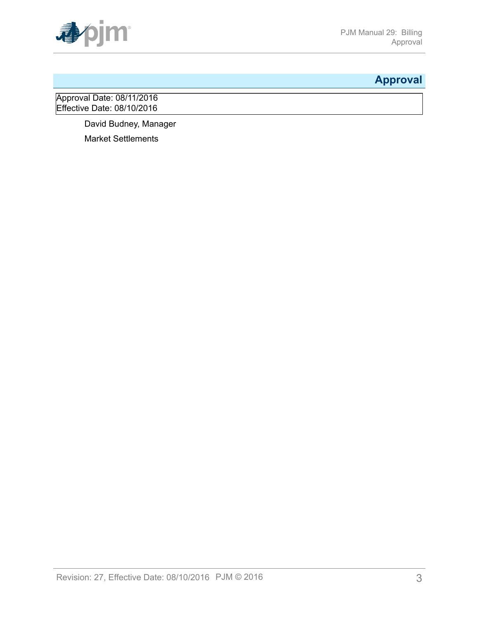

# <span id="page-2-0"></span>**Approval**

Approval Date: 08/11/2016 **Effective Date: 08/10/2016** 

David Budney, Manager

Market Settlements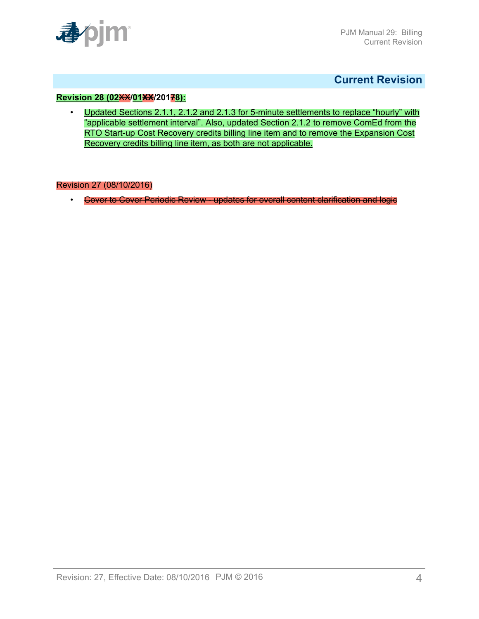

### <span id="page-3-0"></span>**Current Revision**

#### **Revision 28 (02**XX**/01XX/20178):**

• Updated Sections 2.1.1, 2.1.2 and 2.1.3 for 5-minute settlements to replace "hourly" with "applicable settlement interval". Also, updated Section 2.1.2 to remove ComEd from the RTO Start-up Cost Recovery credits billing line item and to remove the Expansion Cost Recovery credits billing line item, as both are not applicable.

#### Revision 27 (08/10/2016)

• Cover to Cover Periodic Review - updates for overall content clarification and logic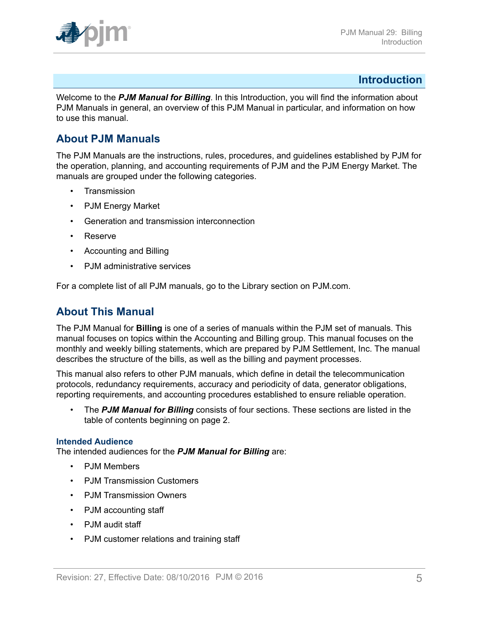

### <span id="page-4-0"></span>**Introduction**

Welcome to the *PJM Manual for Billing*. In this Introduction, you will find the information about PJM Manuals in general, an overview of this PJM Manual in particular, and information on how to use this manual.

### <span id="page-4-1"></span>**About PJM Manuals**

The PJM Manuals are the instructions, rules, procedures, and guidelines established by PJM for the operation, planning, and accounting requirements of PJM and the PJM Energy Market. The manuals are grouped under the following categories.

- **Transmission**
- PJM Energy Market
- Generation and transmission interconnection
- Reserve
- Accounting and Billing
- PJM administrative services

For a complete list of all PJM manuals, go to the Library section on PJM.com.

### <span id="page-4-2"></span>**About This Manual**

The PJM Manual for **Billing** is one of a series of manuals within the PJM set of manuals. This manual focuses on topics within the Accounting and Billing group. This manual focuses on the monthly and weekly billing statements, which are prepared by PJM Settlement, Inc. The manual describes the structure of the bills, as well as the billing and payment processes.

This manual also refers to other PJM manuals, which define in detail the telecommunication protocols, redundancy requirements, accuracy and periodicity of data, generator obligations, reporting requirements, and accounting procedures established to ensure reliable operation.

• The *PJM Manual for Billing* consists of four sections. These sections are listed in the table of contents beginning on page 2.

#### **Intended Audience**

The intended audiences for the *PJM Manual for Billing* are:

- PJM Members
- PJM Transmission Customers
- PJM Transmission Owners
- PJM accounting staff
- PJM audit staff
- PJM customer relations and training staff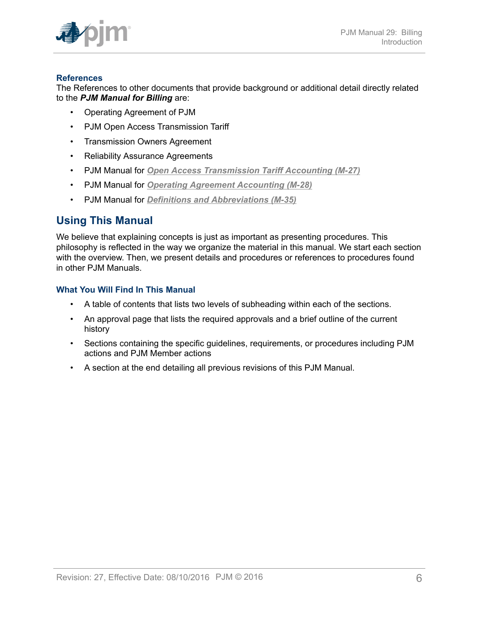

### **References**

The References to other documents that provide background or additional detail directly related to the *PJM Manual for Billing* are:

- Operating Agreement of PJM
- PJM Open Access Transmission Tariff
- Transmission Owners Agreement
- Reliability Assurance Agreements
- PJM Manual for *Open Access [Transmission](http://www.pjm.com/~/media/documents/manuals/m27.ashx) Tariff Accounting (M-27)*
- PJM Manual for *[Operating Agreement Accounting \(M-28\)](http://www.pjm.com/~/media/documents/manuals/m28.ashx)*
- PJM Manual for *[Definitions and Abbreviations \(M-35\)](http://www.pjm.com/library/manuals.aspx)*

# <span id="page-5-0"></span>**Using This Manual**

We believe that explaining concepts is just as important as presenting procedures. This philosophy is reflected in the way we organize the material in this manual. We start each section with the overview. Then, we present details and procedures or references to procedures found in other PJM Manuals.

### **What You Will Find In This Manual**

- A table of contents that lists two levels of subheading within each of the sections.
- An approval page that lists the required approvals and a brief outline of the current history
- Sections containing the specific guidelines, requirements, or procedures including PJM actions and PJM Member actions
- A section at the end detailing all previous revisions of this PJM Manual.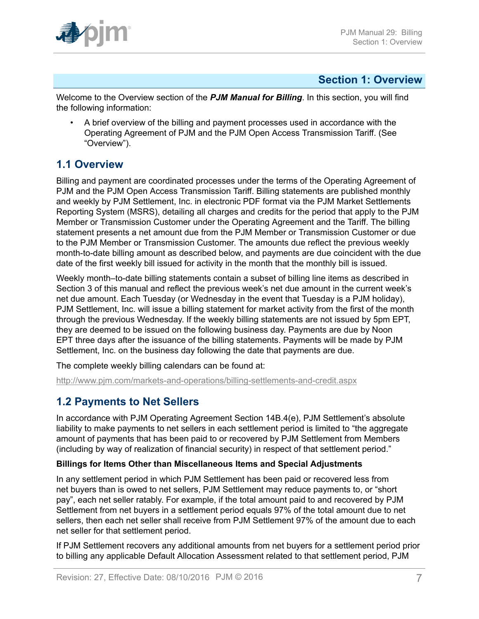

### <span id="page-6-0"></span>**Section 1: Overview**

Welcome to the Overview section of the *PJM Manual for Billing*. In this section, you will find the following information:

• A brief overview of the billing and payment processes used in accordance with the Operating Agreement of PJM and the PJM Open Access Transmission Tariff. (See "Overview").

# <span id="page-6-1"></span>**1.1 Overview**

Billing and payment are coordinated processes under the terms of the Operating Agreement of PJM and the PJM Open Access Transmission Tariff. Billing statements are published monthly and weekly by PJM Settlement, Inc. in electronic PDF format via the PJM Market Settlements Reporting System (MSRS), detailing all charges and credits for the period that apply to the PJM Member or Transmission Customer under the Operating Agreement and the Tariff. The billing statement presents a net amount due from the PJM Member or Transmission Customer or due to the PJM Member or Transmission Customer. The amounts due reflect the previous weekly month-to-date billing amount as described below, and payments are due coincident with the due date of the first weekly bill issued for activity in the month that the monthly bill is issued.

Weekly month–to-date billing statements contain a subset of billing line items as described in Section 3 of this manual and reflect the previous week's net due amount in the current week's net due amount. Each Tuesday (or Wednesday in the event that Tuesday is a PJM holiday), PJM Settlement, Inc. will issue a billing statement for market activity from the first of the month through the previous Wednesday. If the weekly billing statements are not issued by 5pm EPT, they are deemed to be issued on the following business day. Payments are due by Noon EPT three days after the issuance of the billing statements. Payments will be made by PJM Settlement, Inc. on the business day following the date that payments are due.

The complete weekly billing calendars can be found at:

<http://www.pjm.com/markets-and-operations/billing-settlements-and-credit.aspx>

# <span id="page-6-2"></span>**1.2 Payments to Net Sellers**

In accordance with PJM Operating Agreement Section 14B.4(e), PJM Settlement's absolute liability to make payments to net sellers in each settlement period is limited to "the aggregate amount of payments that has been paid to or recovered by PJM Settlement from Members (including by way of realization of financial security) in respect of that settlement period."

### **Billings for Items Other than Miscellaneous Items and Special Adjustments**

In any settlement period in which PJM Settlement has been paid or recovered less from net buyers than is owed to net sellers, PJM Settlement may reduce payments to, or "short pay", each net seller ratably. For example, if the total amount paid to and recovered by PJM Settlement from net buyers in a settlement period equals 97% of the total amount due to net sellers, then each net seller shall receive from PJM Settlement 97% of the amount due to each net seller for that settlement period.

If PJM Settlement recovers any additional amounts from net buyers for a settlement period prior to billing any applicable Default Allocation Assessment related to that settlement period, PJM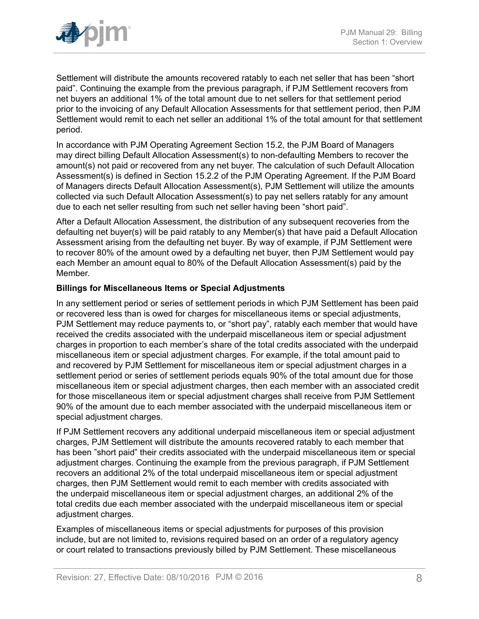

Settlement will distribute the amounts recovered ratably to each net seller that has been "short paid". Continuing the example from the previous paragraph, if PJM Settlement recovers from net buyers an additional 1% of the total amount due to net sellers for that settlement period prior to the invoicing of any Default Allocation Assessments for that settlement period, then PJM Settlement would remit to each net seller an additional 1% of the total amount for that settlement period.

In accordance with PJM Operating Agreement Section 15.2, the PJM Board of Managers may direct billing Default Allocation Assessment(s) to non-defaulting Members to recover the amount(s) not paid or recovered from any net buyer. The calculation of such Default Allocation Assessment(s) is defined in Section 15.2.2 of the PJM Operating Agreement. If the PJM Board of Managers directs Default Allocation Assessment(s), PJM Settlement will utilize the amounts collected via such Default Allocation Assessment(s) to pay net sellers ratably for any amount due to each net seller resulting from such net seller having been "short paid".

After a Default Allocation Assessment, the distribution of any subsequent recoveries from the defaulting net buyer(s) will be paid ratably to any Member(s) that have paid a Default Allocation Assessment arising from the defaulting net buyer. By way of example, if PJM Settlement were to recover 80% of the amount owed by a defaulting net buyer, then PJM Settlement would pay each Member an amount equal to 80% of the Default Allocation Assessment(s) paid by the Member.

#### **Billings for Miscellaneous Items or Special Adjustments**

In any settlement period or series of settlement periods in which PJM Settlement has been paid or recovered less than is owed for charges for miscellaneous items or special adjustments, PJM Settlement may reduce payments to, or "short pay", ratably each member that would have received the credits associated with the underpaid miscellaneous item or special adjustment charges in proportion to each member's share of the total credits associated with the underpaid miscellaneous item or special adjustment charges. For example, if the total amount paid to and recovered by PJM Settlement for miscellaneous item or special adjustment charges in a settlement period or series of settlement periods equals 90% of the total amount due for those miscellaneous item or special adjustment charges, then each member with an associated credit for those miscellaneous item or special adjustment charges shall receive from PJM Settlement 90% of the amount due to each member associated with the underpaid miscellaneous item or special adjustment charges.

If PJM Settlement recovers any additional underpaid miscellaneous item or special adjustment charges, PJM Settlement will distribute the amounts recovered ratably to each member that has been "short paid" their credits associated with the underpaid miscellaneous item or special adjustment charges. Continuing the example from the previous paragraph, if PJM Settlement recovers an additional 2% of the total underpaid miscellaneous item or special adjustment charges, then PJM Settlement would remit to each member with credits associated with the underpaid miscellaneous item or special adjustment charges, an additional 2% of the total credits due each member associated with the underpaid miscellaneous item or special adjustment charges.

Examples of miscellaneous items or special adjustments for purposes of this provision include, but are not limited to, revisions required based on an order of a regulatory agency or court related to transactions previously billed by PJM Settlement. These miscellaneous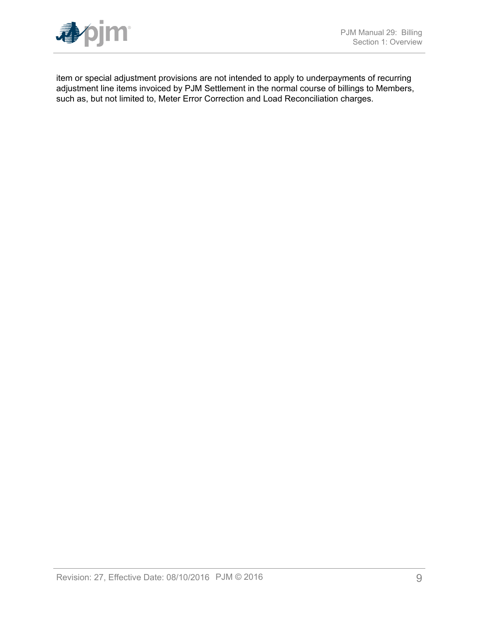item or special adjustment provisions are not intended to apply to underpayments of recurring adjustment line items invoiced by PJM Settlement in the normal course of billings to Members, such as, but not limited to, Meter Error Correction and Load Reconciliation charges.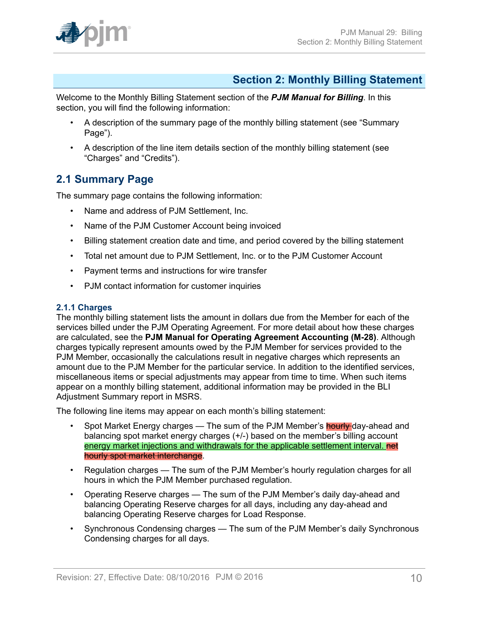

# <span id="page-9-0"></span>**Section 2: Monthly Billing Statement**

Welcome to the Monthly Billing Statement section of the *PJM Manual for Billing*. In this section, you will find the following information:

- A description of the summary page of the monthly billing statement (see "Summary Page").
- A description of the line item details section of the monthly billing statement (see "Charges" and "Credits").

## <span id="page-9-1"></span>**2.1 Summary Page**

The summary page contains the following information:

- Name and address of PJM Settlement, Inc.
- Name of the PJM Customer Account being invoiced
- Billing statement creation date and time, and period covered by the billing statement
- Total net amount due to PJM Settlement, Inc. or to the PJM Customer Account
- Payment terms and instructions for wire transfer
- PJM contact information for customer inquiries

### <span id="page-9-2"></span>**2.1.1 Charges**

The monthly billing statement lists the amount in dollars due from the Member for each of the services billed under the PJM Operating Agreement. For more detail about how these charges are calculated, see the **PJM Manual for Operating Agreement Accounting (M-28)**. Although charges typically represent amounts owed by the PJM Member for services provided to the PJM Member, occasionally the calculations result in negative charges which represents an amount due to the PJM Member for the particular service. In addition to the identified services, miscellaneous items or special adjustments may appear from time to time. When such items appear on a monthly billing statement, additional information may be provided in the BLI Adjustment Summary report in MSRS.

The following line items may appear on each month's billing statement:

- Spot Market Energy charges The sum of the PJM Member's **hourly** day-ahead and balancing spot market energy charges (+/-) based on the member's billing account energy market injections and withdrawals for the applicable settlement interval. net hourly spot market interchange.
- Regulation charges The sum of the PJM Member's hourly regulation charges for all hours in which the PJM Member purchased regulation.
- Operating Reserve charges The sum of the PJM Member's daily day-ahead and balancing Operating Reserve charges for all days, including any day-ahead and balancing Operating Reserve charges for Load Response.
- Synchronous Condensing charges The sum of the PJM Member's daily Synchronous Condensing charges for all days.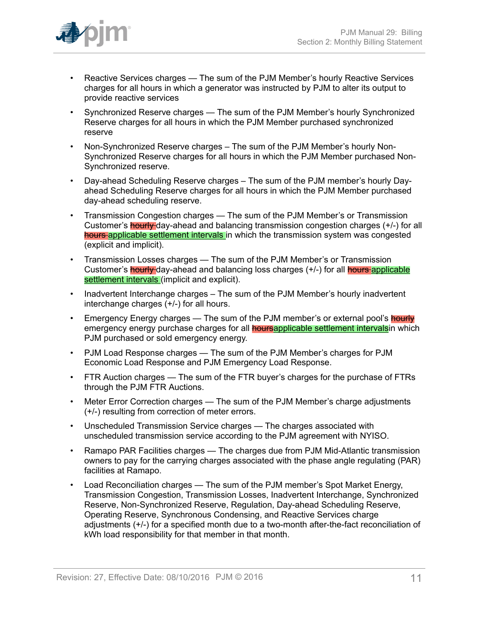

- Reactive Services charges The sum of the PJM Member's hourly Reactive Services charges for all hours in which a generator was instructed by PJM to alter its output to provide reactive services
- Synchronized Reserve charges The sum of the PJM Member's hourly Synchronized Reserve charges for all hours in which the PJM Member purchased synchronized reserve
- Non-Synchronized Reserve charges The sum of the PJM Member's hourly Non-Synchronized Reserve charges for all hours in which the PJM Member purchased Non-Synchronized reserve.
- Day-ahead Scheduling Reserve charges The sum of the PJM member's hourly Dayahead Scheduling Reserve charges for all hours in which the PJM Member purchased day-ahead scheduling reserve.
- Transmission Congestion charges The sum of the PJM Member's or Transmission Customer's hourly day-ahead and balancing transmission congestion charges (+/-) for all hours applicable settlement intervals in which the transmission system was congested (explicit and implicit).
- Transmission Losses charges The sum of the PJM Member's or Transmission Customer's **hourly** day-ahead and balancing loss charges (+/-) for all **hours** applicable settlement intervals (implicit and explicit).
- Inadvertent Interchange charges The sum of the PJM Member's hourly inadvertent interchange charges (+/-) for all hours.
- Emergency Energy charges The sum of the PJM member's or external pool's **hourly** emergency energy purchase charges for all **hoursapplicable settlement intervals** in which PJM purchased or sold emergency energy.
- PJM Load Response charges The sum of the PJM Member's charges for PJM Economic Load Response and PJM Emergency Load Response.
- FTR Auction charges The sum of the FTR buyer's charges for the purchase of FTRs through the PJM FTR Auctions.
- Meter Error Correction charges The sum of the PJM Member's charge adjustments (+/-) resulting from correction of meter errors.
- Unscheduled Transmission Service charges The charges associated with unscheduled transmission service according to the PJM agreement with NYISO.
- Ramapo PAR Facilities charges The charges due from PJM Mid-Atlantic transmission owners to pay for the carrying charges associated with the phase angle regulating (PAR) facilities at Ramapo.
- Load Reconciliation charges The sum of the PJM member's Spot Market Energy, Transmission Congestion, Transmission Losses, Inadvertent Interchange, Synchronized Reserve, Non-Synchronized Reserve, Regulation, Day-ahead Scheduling Reserve, Operating Reserve, Synchronous Condensing, and Reactive Services charge adjustments (+/-) for a specified month due to a two-month after-the-fact reconciliation of kWh load responsibility for that member in that month.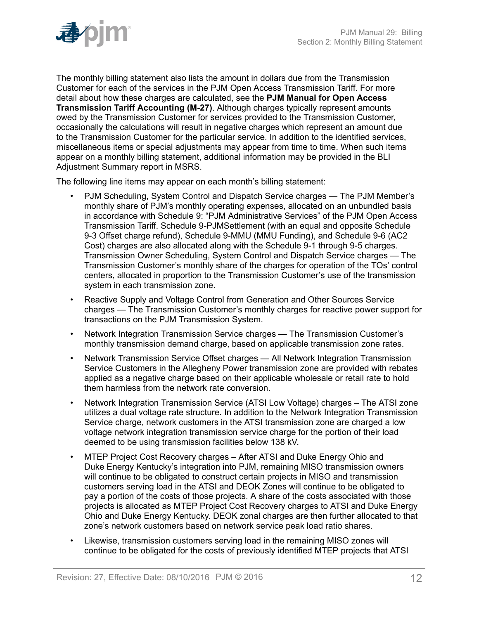

The monthly billing statement also lists the amount in dollars due from the Transmission Customer for each of the services in the PJM Open Access Transmission Tariff. For more detail about how these charges are calculated, see the **PJM Manual for Open Access Transmission Tariff Accounting (M-27)**. Although charges typically represent amounts owed by the Transmission Customer for services provided to the Transmission Customer, occasionally the calculations will result in negative charges which represent an amount due to the Transmission Customer for the particular service. In addition to the identified services, miscellaneous items or special adjustments may appear from time to time. When such items appear on a monthly billing statement, additional information may be provided in the BLI Adjustment Summary report in MSRS.

The following line items may appear on each month's billing statement:

- PJM Scheduling, System Control and Dispatch Service charges The PJM Member's monthly share of PJM's monthly operating expenses, allocated on an unbundled basis in accordance with Schedule 9: "PJM Administrative Services" of the PJM Open Access Transmission Tariff. Schedule 9-PJMSettlement (with an equal and opposite Schedule 9-3 Offset charge refund), Schedule 9-MMU (MMU Funding), and Schedule 9-6 (AC2 Cost) charges are also allocated along with the Schedule 9-1 through 9-5 charges. Transmission Owner Scheduling, System Control and Dispatch Service charges — The Transmission Customer's monthly share of the charges for operation of the TOs' control centers, allocated in proportion to the Transmission Customer's use of the transmission system in each transmission zone.
- Reactive Supply and Voltage Control from Generation and Other Sources Service charges — The Transmission Customer's monthly charges for reactive power support for transactions on the PJM Transmission System.
- Network Integration Transmission Service charges The Transmission Customer's monthly transmission demand charge, based on applicable transmission zone rates.
- Network Transmission Service Offset charges All Network Integration Transmission Service Customers in the Allegheny Power transmission zone are provided with rebates applied as a negative charge based on their applicable wholesale or retail rate to hold them harmless from the network rate conversion.
- Network Integration Transmission Service (ATSI Low Voltage) charges The ATSI zone utilizes a dual voltage rate structure. In addition to the Network Integration Transmission Service charge, network customers in the ATSI transmission zone are charged a low voltage network integration transmission service charge for the portion of their load deemed to be using transmission facilities below 138 kV.
- MTEP Project Cost Recovery charges After ATSI and Duke Energy Ohio and Duke Energy Kentucky's integration into PJM, remaining MISO transmission owners will continue to be obligated to construct certain projects in MISO and transmission customers serving load in the ATSI and DEOK Zones will continue to be obligated to pay a portion of the costs of those projects. A share of the costs associated with those projects is allocated as MTEP Project Cost Recovery charges to ATSI and Duke Energy Ohio and Duke Energy Kentucky. DEOK zonal charges are then further allocated to that zone's network customers based on network service peak load ratio shares.
- Likewise, transmission customers serving load in the remaining MISO zones will continue to be obligated for the costs of previously identified MTEP projects that ATSI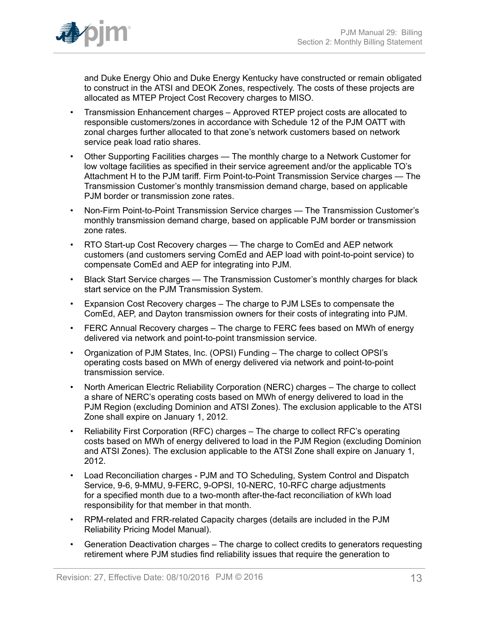

and Duke Energy Ohio and Duke Energy Kentucky have constructed or remain obligated to construct in the ATSI and DEOK Zones, respectively. The costs of these projects are allocated as MTEP Project Cost Recovery charges to MISO.

- Transmission Enhancement charges Approved RTEP project costs are allocated to responsible customers/zones in accordance with Schedule 12 of the PJM OATT with zonal charges further allocated to that zone's network customers based on network service peak load ratio shares.
- Other Supporting Facilities charges The monthly charge to a Network Customer for low voltage facilities as specified in their service agreement and/or the applicable TO's Attachment H to the PJM tariff. Firm Point-to-Point Transmission Service charges — The Transmission Customer's monthly transmission demand charge, based on applicable PJM border or transmission zone rates.
- Non-Firm Point-to-Point Transmission Service charges The Transmission Customer's monthly transmission demand charge, based on applicable PJM border or transmission zone rates.
- RTO Start-up Cost Recovery charges The charge to ComEd and AEP network customers (and customers serving ComEd and AEP load with point-to-point service) to compensate ComEd and AEP for integrating into PJM.
- Black Start Service charges The Transmission Customer's monthly charges for black start service on the PJM Transmission System.
- Expansion Cost Recovery charges The charge to PJM LSEs to compensate the ComEd, AEP, and Dayton transmission owners for their costs of integrating into PJM.
- FERC Annual Recovery charges The charge to FERC fees based on MWh of energy delivered via network and point-to-point transmission service.
- Organization of PJM States, Inc. (OPSI) Funding The charge to collect OPSI's operating costs based on MWh of energy delivered via network and point-to-point transmission service.
- North American Electric Reliability Corporation (NERC) charges The charge to collect a share of NERC's operating costs based on MWh of energy delivered to load in the PJM Region (excluding Dominion and ATSI Zones). The exclusion applicable to the ATSI Zone shall expire on January 1, 2012.
- Reliability First Corporation (RFC) charges The charge to collect RFC's operating costs based on MWh of energy delivered to load in the PJM Region (excluding Dominion and ATSI Zones). The exclusion applicable to the ATSI Zone shall expire on January 1, 2012.
- Load Reconciliation charges PJM and TO Scheduling, System Control and Dispatch Service, 9-6, 9-MMU, 9-FERC, 9-OPSI, 10-NERC, 10-RFC charge adjustments for a specified month due to a two-month after-the-fact reconciliation of kWh load responsibility for that member in that month.
- RPM-related and FRR-related Capacity charges (details are included in the PJM Reliability Pricing Model Manual).
- Generation Deactivation charges The charge to collect credits to generators requesting retirement where PJM studies find reliability issues that require the generation to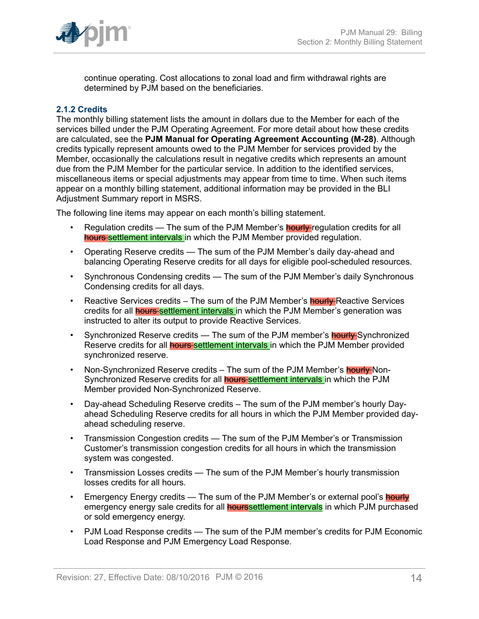

continue operating. Cost allocations to zonal load and firm withdrawal rights are determined by PJM based on the beneficiaries.

#### <span id="page-13-0"></span>**2.1.2 Credits**

The monthly billing statement lists the amount in dollars due to the Member for each of the services billed under the PJM Operating Agreement. For more detail about how these credits are calculated, see the **PJM Manual for Operating Agreement Accounting (M-28)**. Although credits typically represent amounts owed to the PJM Member for services provided by the Member, occasionally the calculations result in negative credits which represents an amount due from the PJM Member for the particular service. In addition to the identified services, miscellaneous items or special adjustments may appear from time to time. When such items appear on a monthly billing statement, additional information may be provided in the BLI Adjustment Summary report in MSRS.

The following line items may appear on each month's billing statement.

- Regulation credits The sum of the PJM Member's **hourly** regulation credits for all hours settlement intervals in which the PJM Member provided regulation.
- Operating Reserve credits The sum of the PJM Member's daily day-ahead and balancing Operating Reserve credits for all days for eligible pool-scheduled resources.
- Synchronous Condensing credits The sum of the PJM Member's daily Synchronous Condensing credits for all days.
- Reactive Services credits The sum of the PJM Member's **hourly** Reactive Services credits for all **hours** settlement intervals in which the PJM Member's generation was instructed to alter its output to provide Reactive Services.
- Synchronized Reserve credits The sum of the PJM member's **hourly** Synchronized Reserve credits for all **hours** settlement intervals in which the PJM Member provided synchronized reserve.
- Non-Synchronized Reserve credits The sum of the PJM Member's **hourly** Non-Synchronized Reserve credits for all **hours settlement intervals** in which the PJM Member provided Non-Synchronized Reserve.
- Day-ahead Scheduling Reserve credits The sum of the PJM member's hourly Dayahead Scheduling Reserve credits for all hours in which the PJM Member provided dayahead scheduling reserve.
- Transmission Congestion credits The sum of the PJM Member's or Transmission Customer's transmission congestion credits for all hours in which the transmission system was congested.
- Transmission Losses credits The sum of the PJM Member's hourly transmission losses credits for all hours.
- Emergency Energy credits The sum of the PJM Member's or external pool's hourly emergency energy sale credits for all **hourssettlement intervals** in which PJM purchased or sold emergency energy.
- PJM Load Response credits The sum of the PJM member's credits for PJM Economic Load Response and PJM Emergency Load Response.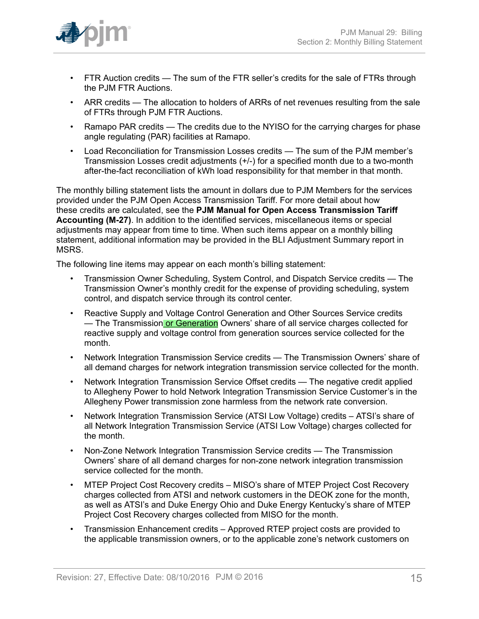

- FTR Auction credits The sum of the FTR seller's credits for the sale of FTRs through the PJM FTR Auctions.
- ARR credits The allocation to holders of ARRs of net revenues resulting from the sale of FTRs through PJM FTR Auctions.
- Ramapo PAR credits The credits due to the NYISO for the carrying charges for phase angle regulating (PAR) facilities at Ramapo.
- Load Reconciliation for Transmission Losses credits The sum of the PJM member's Transmission Losses credit adjustments (+/-) for a specified month due to a two-month after-the-fact reconciliation of kWh load responsibility for that member in that month.

The monthly billing statement lists the amount in dollars due to PJM Members for the services provided under the PJM Open Access Transmission Tariff. For more detail about how these credits are calculated, see the **PJM Manual for Open Access Transmission Tariff Accounting (M-27)**. In addition to the identified services, miscellaneous items or special adjustments may appear from time to time. When such items appear on a monthly billing statement, additional information may be provided in the BLI Adjustment Summary report in MSRS.

The following line items may appear on each month's billing statement:

- Transmission Owner Scheduling, System Control, and Dispatch Service credits The Transmission Owner's monthly credit for the expense of providing scheduling, system control, and dispatch service through its control center.
- Reactive Supply and Voltage Control Generation and Other Sources Service credits — The Transmission or Generation Owners' share of all service charges collected for reactive supply and voltage control from generation sources service collected for the month.
- Network Integration Transmission Service credits The Transmission Owners' share of all demand charges for network integration transmission service collected for the month.
- Network Integration Transmission Service Offset credits The negative credit applied to Allegheny Power to hold Network Integration Transmission Service Customer's in the Allegheny Power transmission zone harmless from the network rate conversion.
- Network Integration Transmission Service (ATSI Low Voltage) credits ATSI's share of all Network Integration Transmission Service (ATSI Low Voltage) charges collected for the month.
- Non-Zone Network Integration Transmission Service credits The Transmission Owners' share of all demand charges for non-zone network integration transmission service collected for the month.
- MTEP Project Cost Recovery credits MISO's share of MTEP Project Cost Recovery charges collected from ATSI and network customers in the DEOK zone for the month, as well as ATSI's and Duke Energy Ohio and Duke Energy Kentucky's share of MTEP Project Cost Recovery charges collected from MISO for the month.
- Transmission Enhancement credits Approved RTEP project costs are provided to the applicable transmission owners, or to the applicable zone's network customers on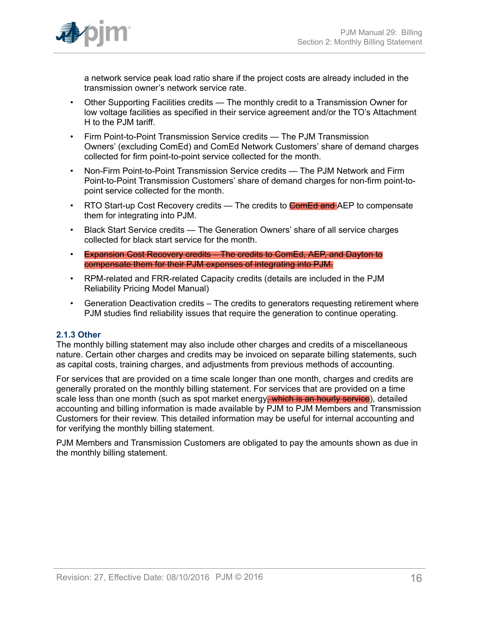

a network service peak load ratio share if the project costs are already included in the transmission owner's network service rate.

- Other Supporting Facilities credits The monthly credit to a Transmission Owner for low voltage facilities as specified in their service agreement and/or the TO's Attachment H to the PJM tariff.
- Firm Point-to-Point Transmission Service credits The PJM Transmission Owners' (excluding ComEd) and ComEd Network Customers' share of demand charges collected for firm point-to-point service collected for the month.
- Non-Firm Point-to-Point Transmission Service credits The PJM Network and Firm Point-to-Point Transmission Customers' share of demand charges for non-firm point-topoint service collected for the month.
- RTO Start-up Cost Recovery credits The credits to **ComEd and AEP** to compensate them for integrating into PJM.
- Black Start Service credits The Generation Owners' share of all service charges collected for black start service for the month.
- Expansion Cost Recovery credits The credits to ComEd, AEP, and Dayton to compensate them for their PJM expenses of integrating into PJM.
- RPM-related and FRR-related Capacity credits (details are included in the PJM Reliability Pricing Model Manual)
- Generation Deactivation credits The credits to generators requesting retirement where PJM studies find reliability issues that require the generation to continue operating.

### <span id="page-15-0"></span>**2.1.3 Other**

The monthly billing statement may also include other charges and credits of a miscellaneous nature. Certain other charges and credits may be invoiced on separate billing statements, such as capital costs, training charges, and adjustments from previous methods of accounting.

For services that are provided on a time scale longer than one month, charges and credits are generally prorated on the monthly billing statement. For services that are provided on a time scale less than one month (such as spot market energy, which is an hourly service), detailed accounting and billing information is made available by PJM to PJM Members and Transmission Customers for their review. This detailed information may be useful for internal accounting and for verifying the monthly billing statement.

PJM Members and Transmission Customers are obligated to pay the amounts shown as due in the monthly billing statement.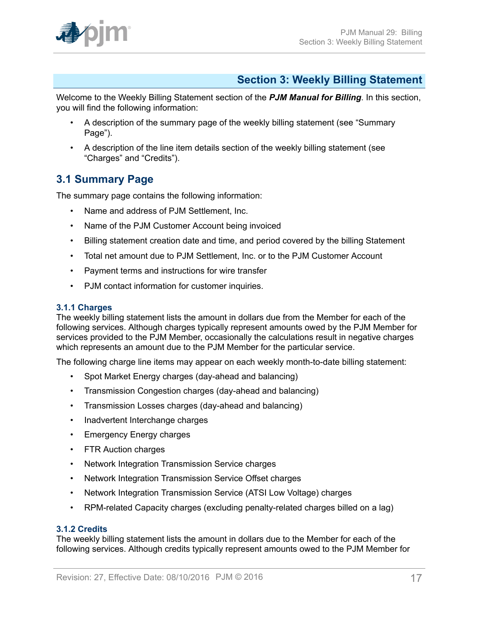

# <span id="page-16-0"></span>**Section 3: Weekly Billing Statement**

Welcome to the Weekly Billing Statement section of the *PJM Manual for Billing*. In this section, you will find the following information:

- A description of the summary page of the weekly billing statement (see "Summary Page").
- A description of the line item details section of the weekly billing statement (see "Charges" and "Credits").

## <span id="page-16-1"></span>**3.1 Summary Page**

The summary page contains the following information:

- Name and address of PJM Settlement, Inc.
- Name of the PJM Customer Account being invoiced
- Billing statement creation date and time, and period covered by the billing Statement
- Total net amount due to PJM Settlement, Inc. or to the PJM Customer Account
- Payment terms and instructions for wire transfer
- PJM contact information for customer inquiries.

### <span id="page-16-2"></span>**3.1.1 Charges**

The weekly billing statement lists the amount in dollars due from the Member for each of the following services. Although charges typically represent amounts owed by the PJM Member for services provided to the PJM Member, occasionally the calculations result in negative charges which represents an amount due to the PJM Member for the particular service.

The following charge line items may appear on each weekly month-to-date billing statement:

- Spot Market Energy charges (day-ahead and balancing)
- Transmission Congestion charges (day-ahead and balancing)
- Transmission Losses charges (day-ahead and balancing)
- Inadvertent Interchange charges
- Emergency Energy charges
- FTR Auction charges
- Network Integration Transmission Service charges
- Network Integration Transmission Service Offset charges
- Network Integration Transmission Service (ATSI Low Voltage) charges
- RPM-related Capacity charges (excluding penalty-related charges billed on a lag)

#### <span id="page-16-3"></span>**3.1.2 Credits**

The weekly billing statement lists the amount in dollars due to the Member for each of the following services. Although credits typically represent amounts owed to the PJM Member for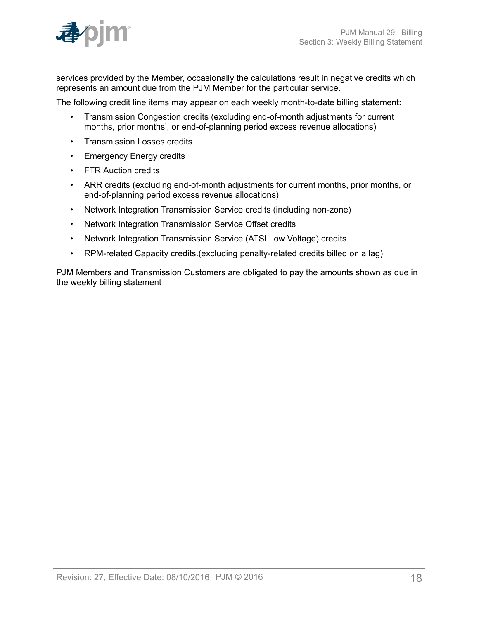

services provided by the Member, occasionally the calculations result in negative credits which represents an amount due from the PJM Member for the particular service.

The following credit line items may appear on each weekly month-to-date billing statement:

- Transmission Congestion credits (excluding end-of-month adjustments for current months, prior months', or end-of-planning period excess revenue allocations)
- Transmission Losses credits
- Emergency Energy credits
- FTR Auction credits
- ARR credits (excluding end-of-month adjustments for current months, prior months, or end-of-planning period excess revenue allocations)
- Network Integration Transmission Service credits (including non-zone)
- Network Integration Transmission Service Offset credits
- Network Integration Transmission Service (ATSI Low Voltage) credits
- RPM-related Capacity credits.(excluding penalty-related credits billed on a lag)

PJM Members and Transmission Customers are obligated to pay the amounts shown as due in the weekly billing statement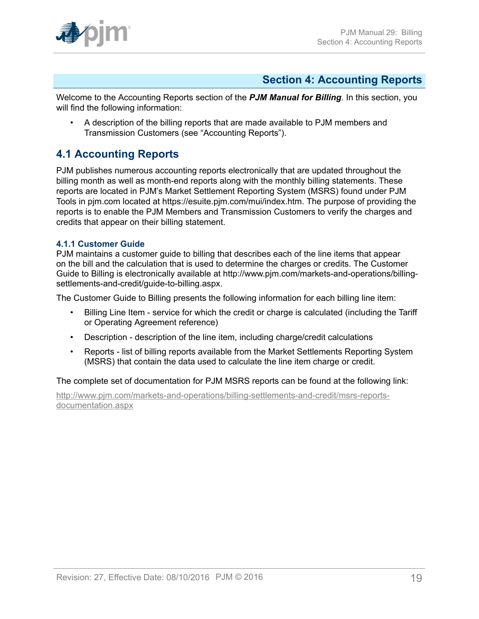# <span id="page-18-0"></span>**Section 4: Accounting Reports**

Welcome to the Accounting Reports section of the *PJM Manual for Billing*. In this section, you will find the following information:

• A description of the billing reports that are made available to PJM members and Transmission Customers (see "Accounting Reports").

# <span id="page-18-1"></span>**4.1 Accounting Reports**

PJM publishes numerous accounting reports electronically that are updated throughout the billing month as well as month-end reports along with the monthly billing statements. These reports are located in PJM's Market Settlement Reporting System (MSRS) found under PJM Tools in pjm.com located at https://esuite.pjm.com/mui/index.htm. The purpose of providing the reports is to enable the PJM Members and Transmission Customers to verify the charges and credits that appear on their billing statement.

### <span id="page-18-2"></span>**4.1.1 Customer Guide**

PJM maintains a customer guide to billing that describes each of the line items that appear on the bill and the calculation that is used to determine the charges or credits. The Customer Guide to Billing is electronically available at http://www.pjm.com/markets-and-operations/billingsettlements-and-credit/guide-to-billing.aspx.

The Customer Guide to Billing presents the following information for each billing line item:

- Billing Line Item service for which the credit or charge is calculated (including the Tariff or Operating Agreement reference)
- Description description of the line item, including charge/credit calculations
- Reports list of billing reports available from the Market Settlements Reporting System (MSRS) that contain the data used to calculate the line item charge or credit.

The complete set of documentation for PJM MSRS reports can be found at the following link:

[http://www.pjm.com/markets-and-operations/billing-settlements-and-credit/msrs-reports](http://www.pjm.com/markets-and-operations/billing-settlements-and-credit/msrs-reports-documentation.aspx)[documentation.aspx](http://www.pjm.com/markets-and-operations/billing-settlements-and-credit/msrs-reports-documentation.aspx)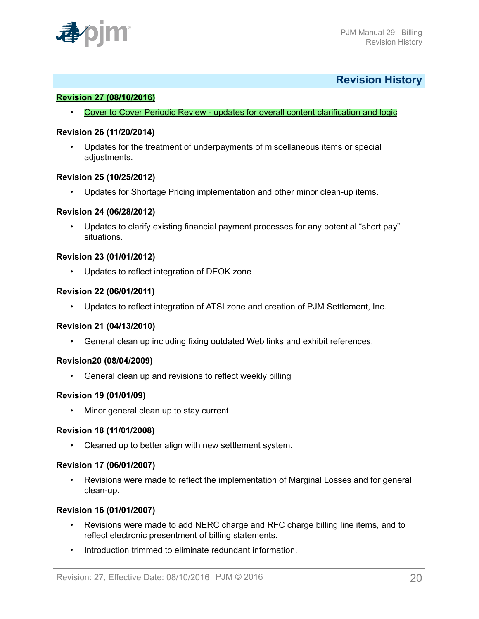

### <span id="page-19-0"></span>**Revision History**

#### **Revision 27 (08/10/2016)**

• Cover to Cover Periodic Review - updates for overall content clarification and logic

#### **Revision 26 (11/20/2014)**

• Updates for the treatment of underpayments of miscellaneous items or special adjustments.

#### **Revision 25 (10/25/2012)**

• Updates for Shortage Pricing implementation and other minor clean-up items.

#### **Revision 24 (06/28/2012)**

Updates to clarify existing financial payment processes for any potential "short pay" situations.

#### **Revision 23 (01/01/2012)**

• Updates to reflect integration of DEOK zone

#### **Revision 22 (06/01/2011)**

• Updates to reflect integration of ATSI zone and creation of PJM Settlement, Inc.

#### **Revision 21 (04/13/2010)**

• General clean up including fixing outdated Web links and exhibit references.

#### **Revision20 (08/04/2009)**

• General clean up and revisions to reflect weekly billing

#### **Revision 19 (01/01/09)**

• Minor general clean up to stay current

#### **Revision 18 (11/01/2008)**

• Cleaned up to better align with new settlement system.

#### **Revision 17 (06/01/2007)**

• Revisions were made to reflect the implementation of Marginal Losses and for general clean-up.

#### **Revision 16 (01/01/2007)**

- Revisions were made to add NERC charge and RFC charge billing line items, and to reflect electronic presentment of billing statements.
- Introduction trimmed to eliminate redundant information.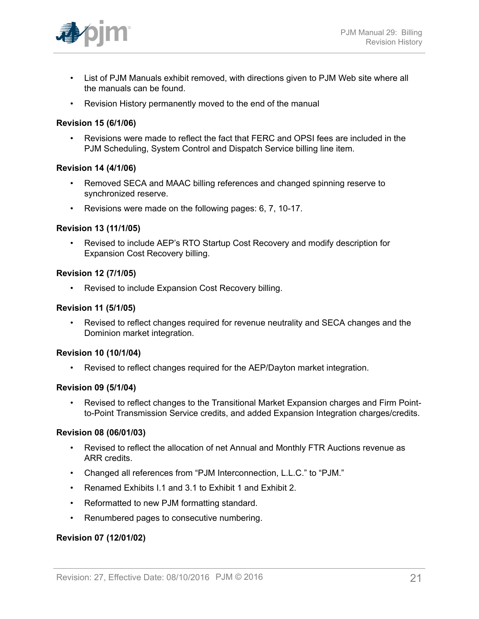

- List of PJM Manuals exhibit removed, with directions given to PJM Web site where all the manuals can be found.
- Revision History permanently moved to the end of the manual

#### **Revision 15 (6/1/06)**

• Revisions were made to reflect the fact that FERC and OPSI fees are included in the PJM Scheduling, System Control and Dispatch Service billing line item.

#### **Revision 14 (4/1/06)**

- Removed SECA and MAAC billing references and changed spinning reserve to synchronized reserve.
- Revisions were made on the following pages: 6, 7, 10-17.

#### **Revision 13 (11/1/05)**

• Revised to include AEP's RTO Startup Cost Recovery and modify description for Expansion Cost Recovery billing.

#### **Revision 12 (7/1/05)**

• Revised to include Expansion Cost Recovery billing.

#### **Revision 11 (5/1/05)**

• Revised to reflect changes required for revenue neutrality and SECA changes and the Dominion market integration.

#### **Revision 10 (10/1/04)**

• Revised to reflect changes required for the AEP/Dayton market integration.

#### **Revision 09 (5/1/04)**

• Revised to reflect changes to the Transitional Market Expansion charges and Firm Pointto-Point Transmission Service credits, and added Expansion Integration charges/credits.

#### **Revision 08 (06/01/03)**

- Revised to reflect the allocation of net Annual and Monthly FTR Auctions revenue as ARR credits.
- Changed all references from "PJM Interconnection, L.L.C." to "PJM."
- Renamed Exhibits I.1 and 3.1 to Exhibit 1 and Exhibit 2.
- Reformatted to new PJM formatting standard.
- Renumbered pages to consecutive numbering.

#### **Revision 07 (12/01/02)**